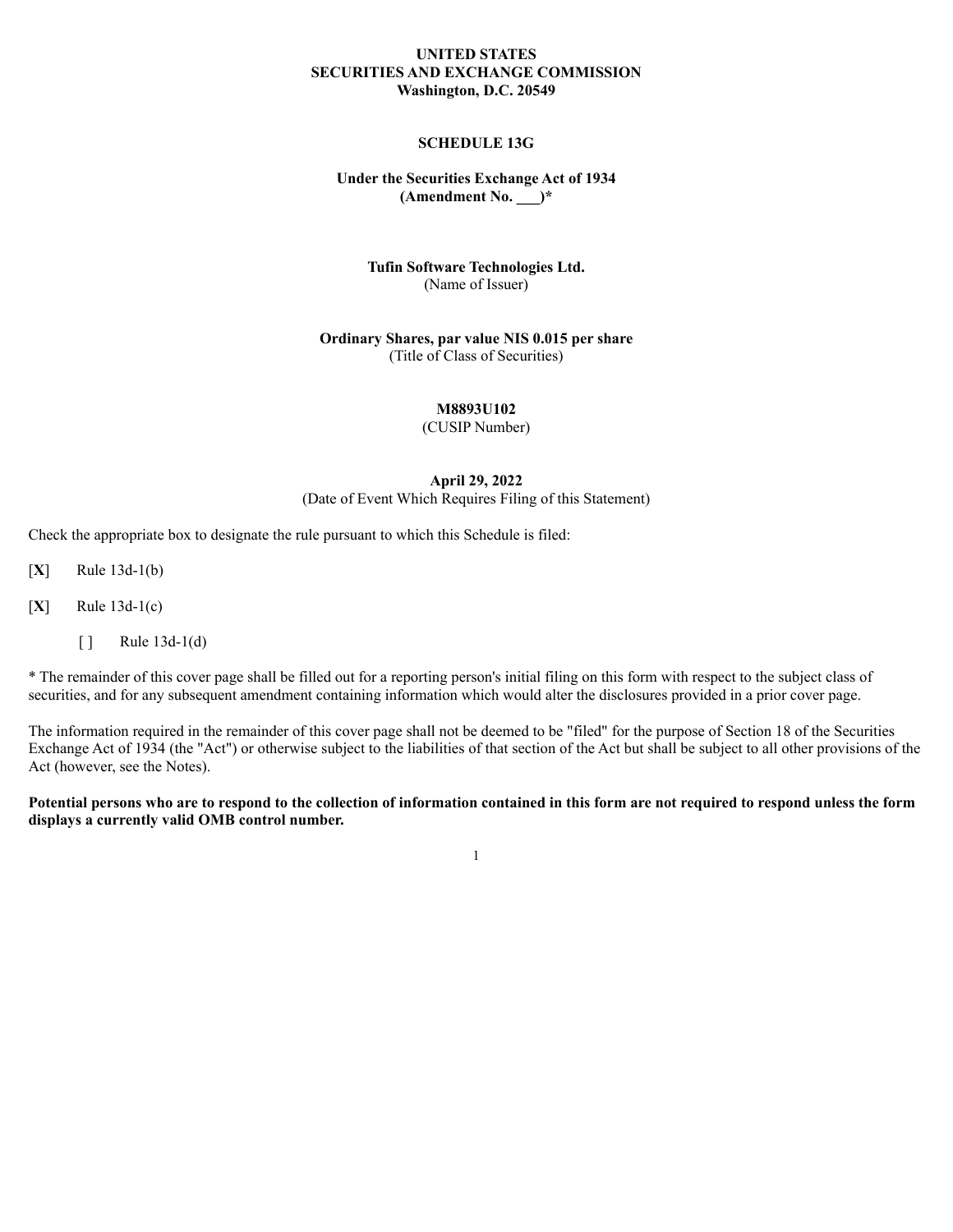## **UNITED STATES SECURITIES AND EXCHANGE COMMISSION Washington, D.C. 20549**

#### **SCHEDULE 13G**

## **Under the Securities Exchange Act of 1934 (Amendment No. \_\_\_)\***

#### **Tufin Software Technologies Ltd.** (Name of Issuer)

#### **Ordinary Shares, par value NIS 0.015 per share** (Title of Class of Securities)

#### **M8893U102**

(CUSIP Number)

# **April 29, 2022**

(Date of Event Which Requires Filing of this Statement)

Check the appropriate box to designate the rule pursuant to which this Schedule is filed:

[**X**] Rule 13d-1(b)

[**X**] Rule 13d-1(c)

 $\lceil \cdot \rceil$  Rule 13d-1(d)

\* The remainder of this cover page shall be filled out for a reporting person's initial filing on this form with respect to the subject class of securities, and for any subsequent amendment containing information which would alter the disclosures provided in a prior cover page.

The information required in the remainder of this cover page shall not be deemed to be "filed" for the purpose of Section 18 of the Securities Exchange Act of 1934 (the "Act") or otherwise subject to the liabilities of that section of the Act but shall be subject to all other provisions of the Act (however, see the Notes).

Potential persons who are to respond to the collection of information contained in this form are not required to respond unless the form **displays a currently valid OMB control number.**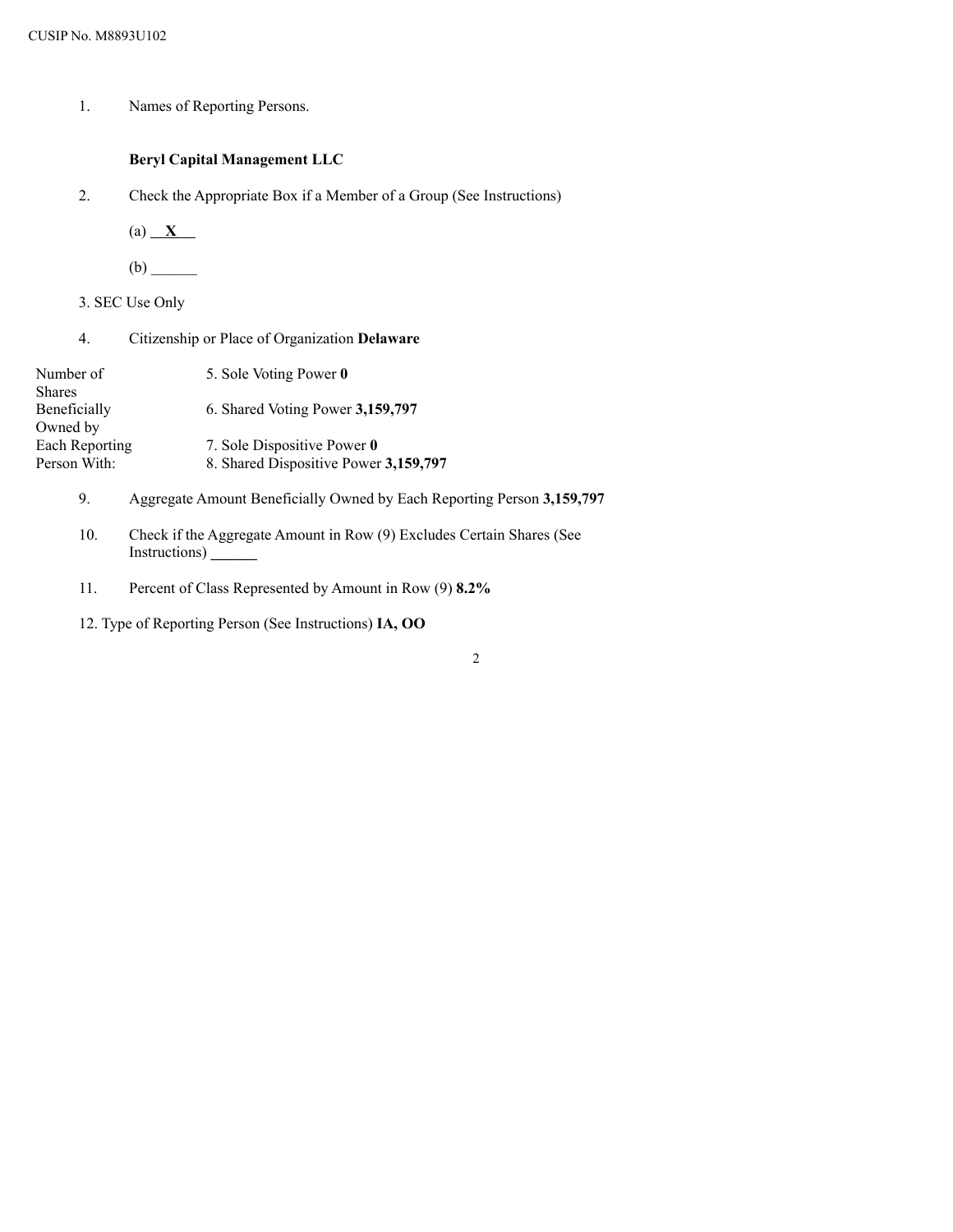# **Beryl Capital Management LLC**

2. Check the Appropriate Box if a Member of a Group (See Instructions)

 $(a)$   $X$ 

- (b) \_\_\_\_\_\_
- 3. SEC Use Only
- 4. Citizenship or Place of Organization **Delaware**

| Number of<br><b>Shares</b>     | 5. Sole Voting Power 0                                               |
|--------------------------------|----------------------------------------------------------------------|
| Beneficially<br>Owned by       | 6. Shared Voting Power 3,159,797                                     |
| Each Reporting<br>Person With: | 7. Sole Dispositive Power 0<br>8. Shared Dispositive Power 3,159,797 |

9. Aggregate Amount Beneficially Owned by Each Reporting Person **3,159,797**

- 10. Check if the Aggregate Amount in Row (9) Excludes Certain Shares (See Instructions) **\_\_\_\_\_\_**
- 11. Percent of Class Represented by Amount in Row (9) **8.2%**
- 12. Type of Reporting Person (See Instructions) **IA, OO**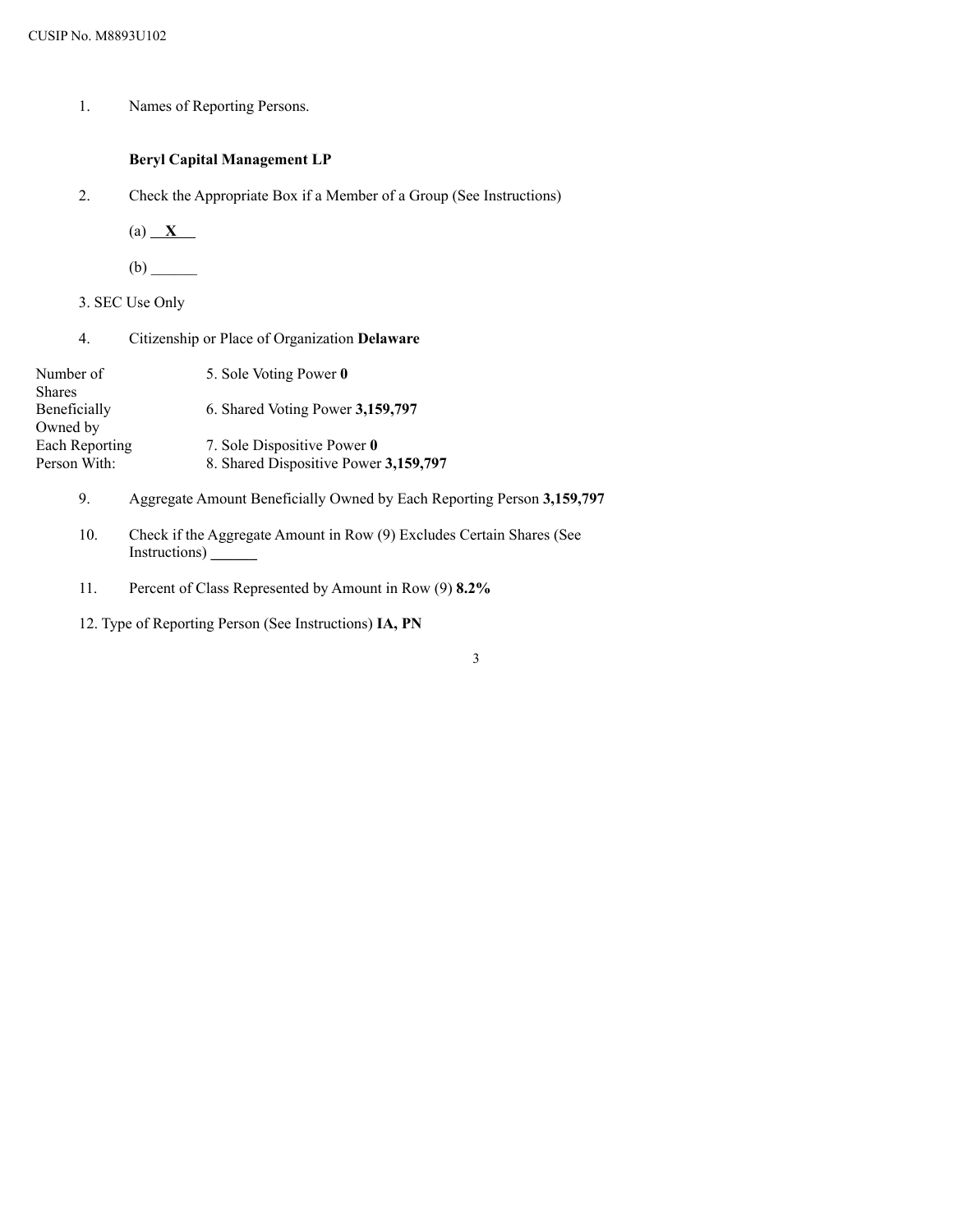#### **Beryl Capital Management LP**

2. Check the Appropriate Box if a Member of a Group (See Instructions)

 $(a)$   $X$ 

- (b) \_\_\_\_\_\_
- 3. SEC Use Only
- 4. Citizenship or Place of Organization **Delaware**

| Number of<br><b>Shares</b>     | 5. Sole Voting Power 0                                               |
|--------------------------------|----------------------------------------------------------------------|
| Beneficially<br>Owned by       | 6. Shared Voting Power 3,159,797                                     |
| Each Reporting<br>Person With: | 7. Sole Dispositive Power 0<br>8. Shared Dispositive Power 3,159,797 |

- 9. Aggregate Amount Beneficially Owned by Each Reporting Person **3,159,797**
- 10. Check if the Aggregate Amount in Row (9) Excludes Certain Shares (See Instructions) **\_\_\_\_\_\_**
- 11. Percent of Class Represented by Amount in Row (9) **8.2%**
- 12. Type of Reporting Person (See Instructions) **IA, PN**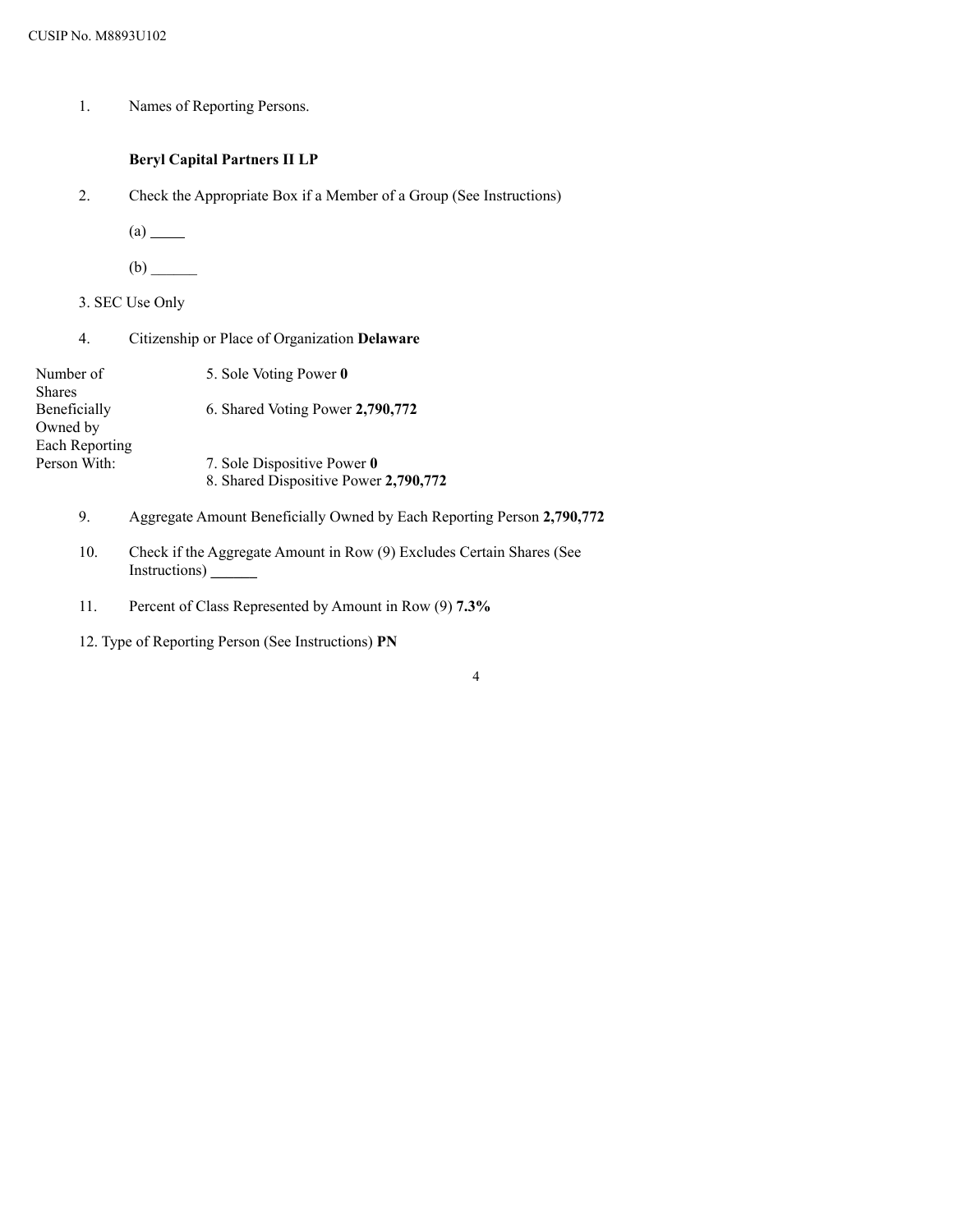# **Beryl Capital Partners II LP**

2. Check the Appropriate Box if a Member of a Group (See Instructions)

 $(a)$ <sub>\_\_\_</sub>

- (b) \_\_\_\_\_\_
- 3. SEC Use Only
- 4. Citizenship or Place of Organization **Delaware**

| Number of<br><b>Shares</b> | 5. Sole Voting Power 0                |
|----------------------------|---------------------------------------|
| Beneficially               | 6. Shared Voting Power 2,790,772      |
| Owned by                   |                                       |
| Each Reporting             |                                       |
| Person With:               | 7. Sole Dispositive Power 0           |
|                            | 8. Shared Dispositive Power 2,790,772 |

- 9. Aggregate Amount Beneficially Owned by Each Reporting Person **2,790,772**
- 10. Check if the Aggregate Amount in Row (9) Excludes Certain Shares (See Instructions) **\_\_\_\_\_\_**
- 11. Percent of Class Represented by Amount in Row (9) **7.3%**
- 12. Type of Reporting Person (See Instructions) **PN**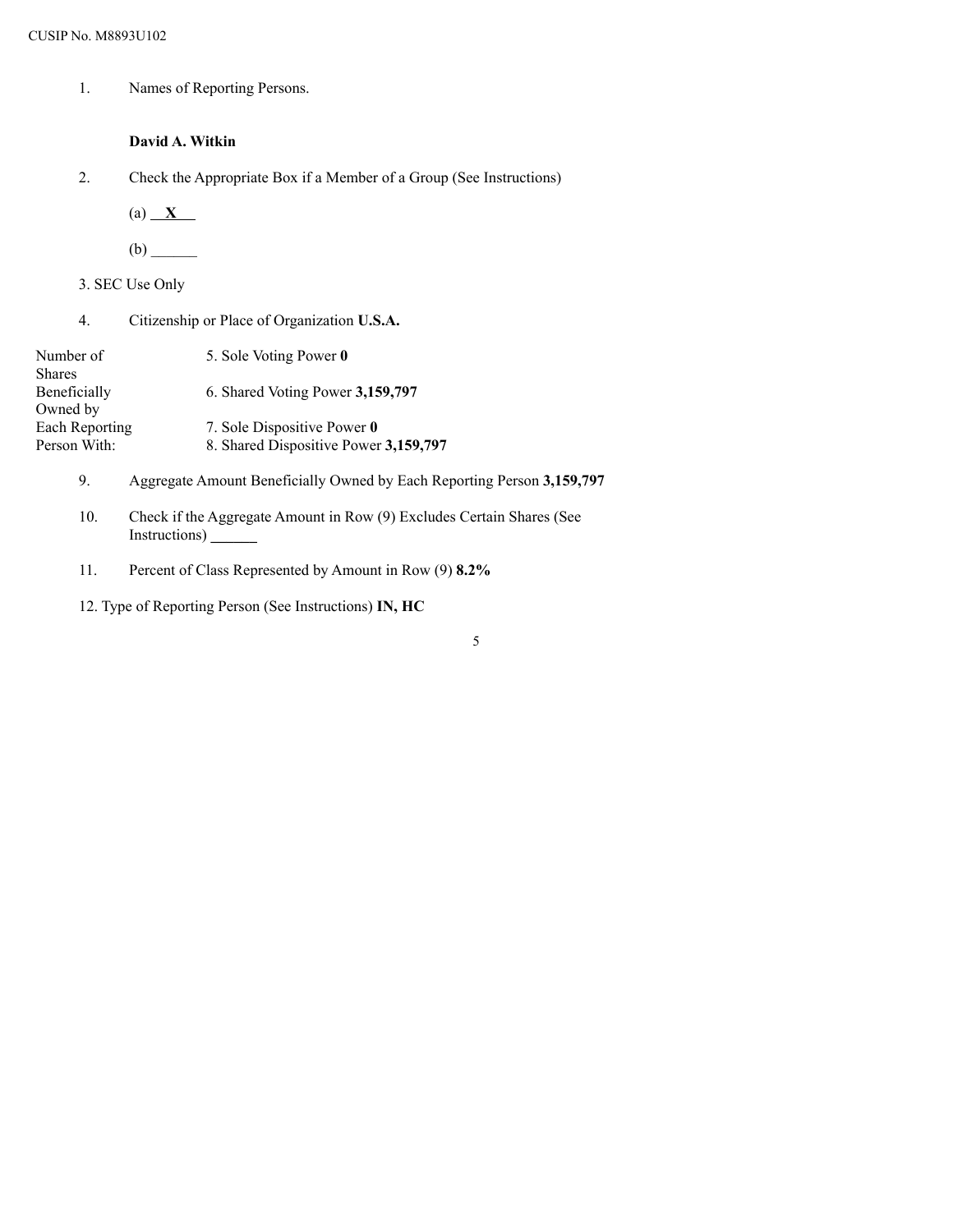# **David A. Witkin**

2. Check the Appropriate Box if a Member of a Group (See Instructions)

(a) **X**

 $(b)$ 

3. SEC Use Only

4. Citizenship or Place of Organization **U.S.A.**

| Number of<br><b>Shares</b>     | 5. Sole Voting Power 0                                               |
|--------------------------------|----------------------------------------------------------------------|
| Beneficially<br>Owned by       | 6. Shared Voting Power 3,159,797                                     |
| Each Reporting<br>Person With: | 7. Sole Dispositive Power 0<br>8. Shared Dispositive Power 3,159,797 |

- 9. Aggregate Amount Beneficially Owned by Each Reporting Person **3,159,797**
- 10. Check if the Aggregate Amount in Row (9) Excludes Certain Shares (See Instructions) **\_\_\_\_\_\_**
- 11. Percent of Class Represented by Amount in Row (9) **8.2%**

12. Type of Reporting Person (See Instructions) **IN, HC**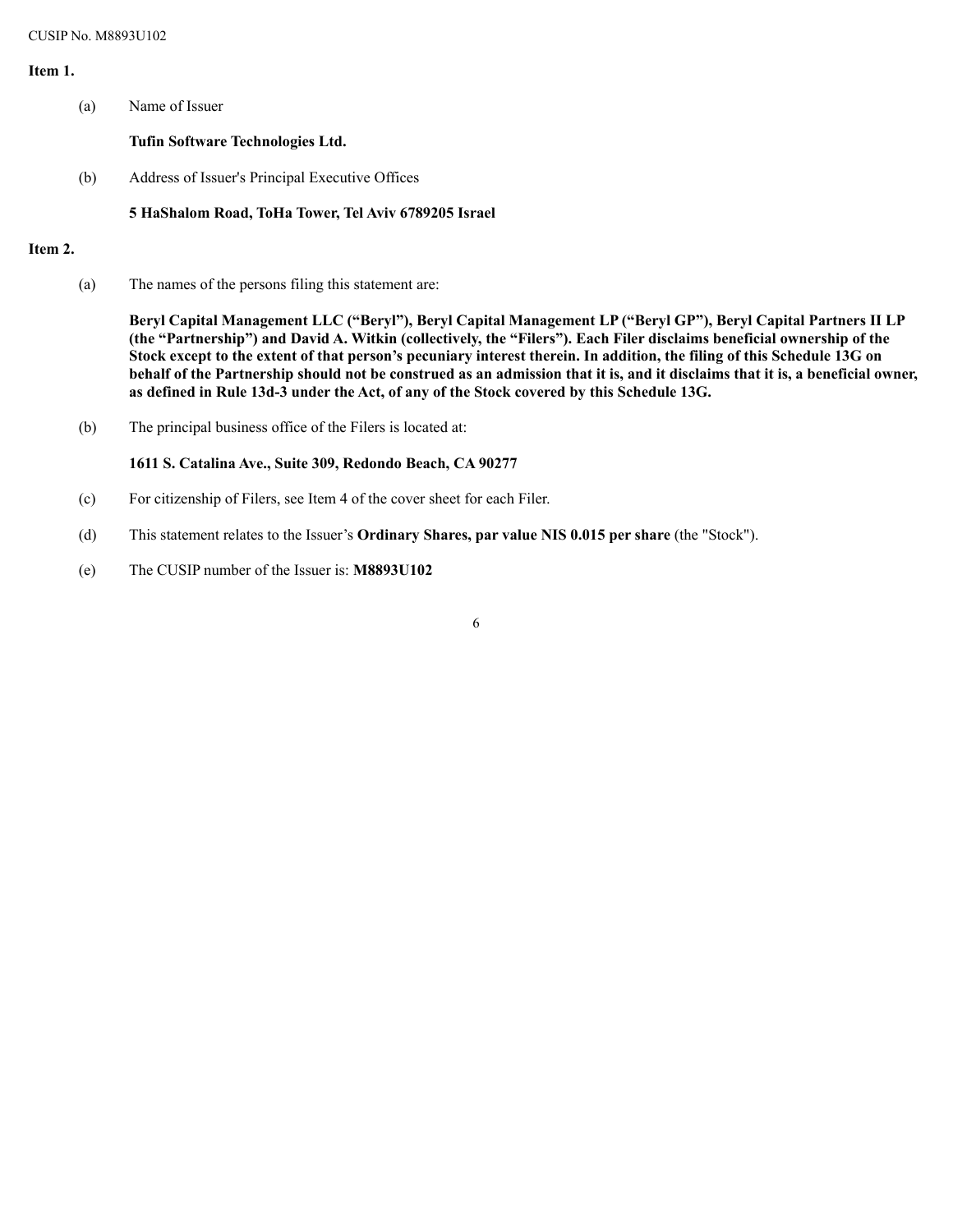#### **Item 1.**

| (a) | Name of Issuer |
|-----|----------------|
|     |                |

**Tufin Software Technologies Ltd.**

(b) Address of Issuer's Principal Executive Offices

**5 HaShalom Road, ToHa Tower, Tel Aviv 6789205 Israel**

## **Item 2.**

(a) The names of the persons filing this statement are:

**Beryl Capital Management LLC ("Beryl"), Beryl Capital Management LP ("Beryl GP"), Beryl Capital Partners II LP** (the "Partnership") and David A. Witkin (collectively, the "Filers"). Each Filer disclaims beneficial ownership of the Stock except to the extent of that person's pecuniary interest therein. In addition, the filing of this Schedule 13G on behalf of the Partnership should not be construed as an admission that it is, and it disclaims that it is, a beneficial owner, **as defined in Rule 13d-3 under the Act, of any of the Stock covered by this Schedule 13G.**

(b) The principal business office of the Filers is located at:

**1611 S. Catalina Ave., Suite 309, Redondo Beach, CA 90277**

- (c) For citizenship of Filers, see Item 4 of the cover sheet for each Filer.
- (d) This statement relates to the Issuer's **Ordinary Shares, par value NIS 0.015 per share** (the "Stock").
- (e) The CUSIP number of the Issuer is: **M8893U102**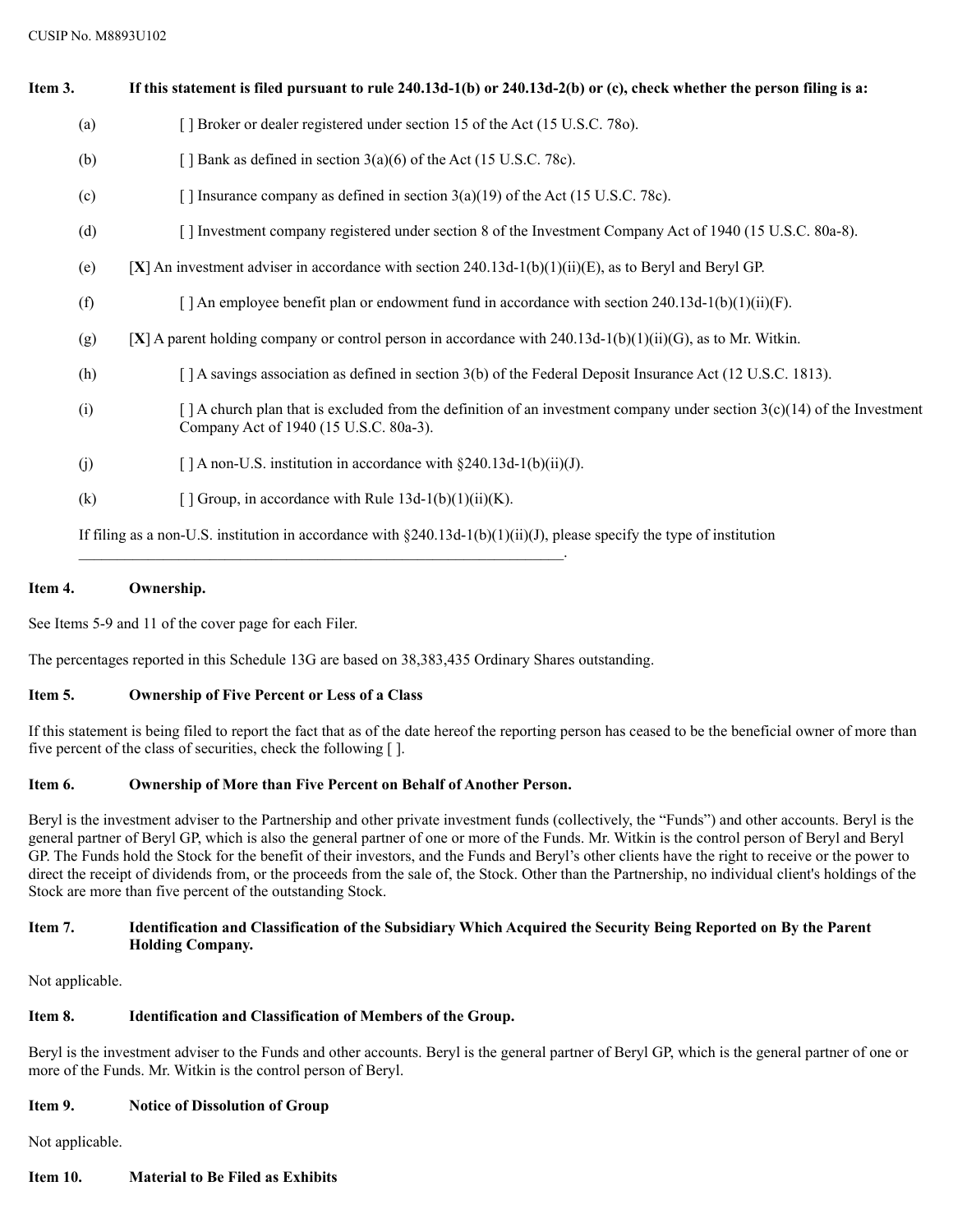| Item 3. | If this statement is filed pursuant to rule $240.13d-1(b)$ or $240.13d-2(b)$ or (c), check whether the person filing is a:                                           |
|---------|----------------------------------------------------------------------------------------------------------------------------------------------------------------------|
| (a)     | [] Broker or dealer registered under section 15 of the Act (15 U.S.C. 780).                                                                                          |
| (b)     | [ ] Bank as defined in section $3(a)(6)$ of the Act (15 U.S.C. 78c).                                                                                                 |
| (c)     | [] Insurance company as defined in section $3(a)(19)$ of the Act (15 U.S.C. 78c).                                                                                    |
| (d)     | [ ] Investment company registered under section 8 of the Investment Company Act of 1940 (15 U.S.C. 80a-8).                                                           |
| (e)     | [X] An investment adviser in accordance with section 240.13d-1(b)(1)(ii)(E), as to Beryl and Beryl GP.                                                               |
| (f)     | [ ] An employee benefit plan or endowment fund in accordance with section 240.13d-1(b)(1)(ii)(F).                                                                    |
| (g)     | [X] A parent holding company or control person in accordance with $240.13d-1(b)(1)(ii)(G)$ , as to Mr. Witkin.                                                       |
| (h)     | [1] A savings association as defined in section 3(b) of the Federal Deposit Insurance Act (12 U.S.C. 1813).                                                          |
| (i)     | [ ] A church plan that is excluded from the definition of an investment company under section $3(c)(14)$ of the Investment<br>Company Act of 1940 (15 U.S.C. 80a-3). |
| (j)     | [ ] A non-U.S. institution in accordance with $\S 240.13d-1(b)(ii)(J)$ .                                                                                             |
| (k)     | [ ] Group, in accordance with Rule $13d-1(b)(1)(ii)(K)$ .                                                                                                            |
|         | If filing as a non-U.S. institution in accordance with $\S 240.13d-1(b)(1)(ii)(J)$ , please specify the type of institution                                          |

# **Item 4. Ownership.**

See Items 5-9 and 11 of the cover page for each Filer.

The percentages reported in this Schedule 13G are based on 38,383,435 Ordinary Shares outstanding.

 $\mathcal{L}_\mathcal{L} = \{ \mathcal{L}_\mathcal{L} = \{ \mathcal{L}_\mathcal{L} = \{ \mathcal{L}_\mathcal{L} = \{ \mathcal{L}_\mathcal{L} = \{ \mathcal{L}_\mathcal{L} = \{ \mathcal{L}_\mathcal{L} = \{ \mathcal{L}_\mathcal{L} = \{ \mathcal{L}_\mathcal{L} = \{ \mathcal{L}_\mathcal{L} = \{ \mathcal{L}_\mathcal{L} = \{ \mathcal{L}_\mathcal{L} = \{ \mathcal{L}_\mathcal{L} = \{ \mathcal{L}_\mathcal{L} = \{ \mathcal{L}_\mathcal{$ 

# **Item 5. Ownership of Five Percent or Less of a Class**

If this statement is being filed to report the fact that as of the date hereof the reporting person has ceased to be the beneficial owner of more than five percent of the class of securities, check the following [ ].

# **Item 6. Ownership of More than Five Percent on Behalf of Another Person.**

Beryl is the investment adviser to the Partnership and other private investment funds (collectively, the "Funds") and other accounts. Beryl is the general partner of Beryl GP, which is also the general partner of one or more of the Funds. Mr. Witkin is the control person of Beryl and Beryl GP. The Funds hold the Stock for the benefit of their investors, and the Funds and Beryl's other clients have the right to receive or the power to direct the receipt of dividends from, or the proceeds from the sale of, the Stock. Other than the Partnership, no individual client's holdings of the Stock are more than five percent of the outstanding Stock.

#### Item 7. Identification and Classification of the Subsidiary Which Acquired the Security Being Reported on By the Parent **Holding Company.**

Not applicable.

# **Item 8. Identification and Classification of Members of the Group.**

Beryl is the investment adviser to the Funds and other accounts. Beryl is the general partner of Beryl GP, which is the general partner of one or more of the Funds. Mr. Witkin is the control person of Beryl.

# **Item 9. Notice of Dissolution of Group**

Not applicable.

**Item 10. Material to Be Filed as Exhibits**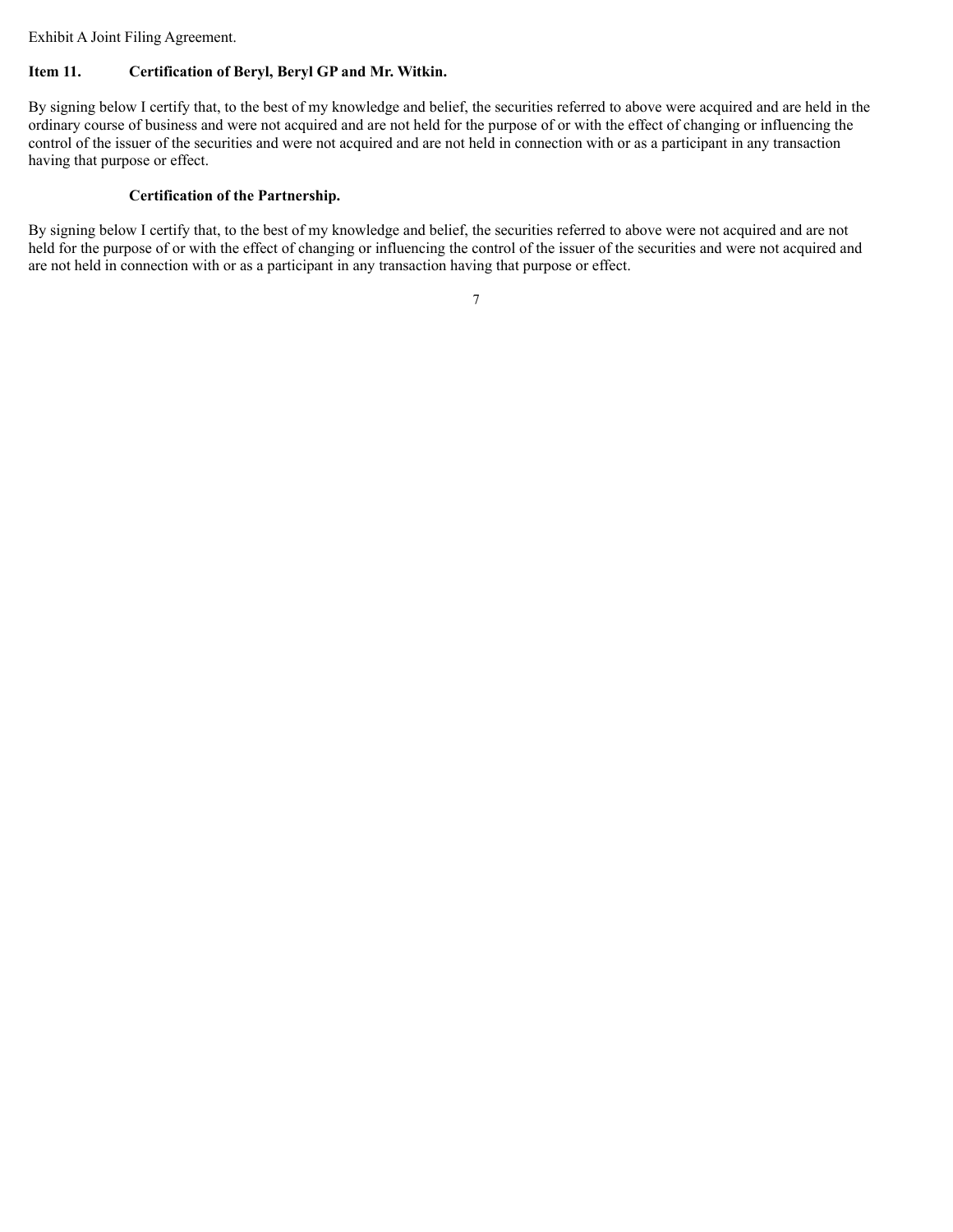Exhibit A Joint Filing Agreement.

# **Item 11. Certification of Beryl, Beryl GP and Mr. Witkin.**

By signing below I certify that, to the best of my knowledge and belief, the securities referred to above were acquired and are held in the ordinary course of business and were not acquired and are not held for the purpose of or with the effect of changing or influencing the control of the issuer of the securities and were not acquired and are not held in connection with or as a participant in any transaction having that purpose or effect.

# **Certification of the Partnership.**

By signing below I certify that, to the best of my knowledge and belief, the securities referred to above were not acquired and are not held for the purpose of or with the effect of changing or influencing the control of the issuer of the securities and were not acquired and are not held in connection with or as a participant in any transaction having that purpose or effect.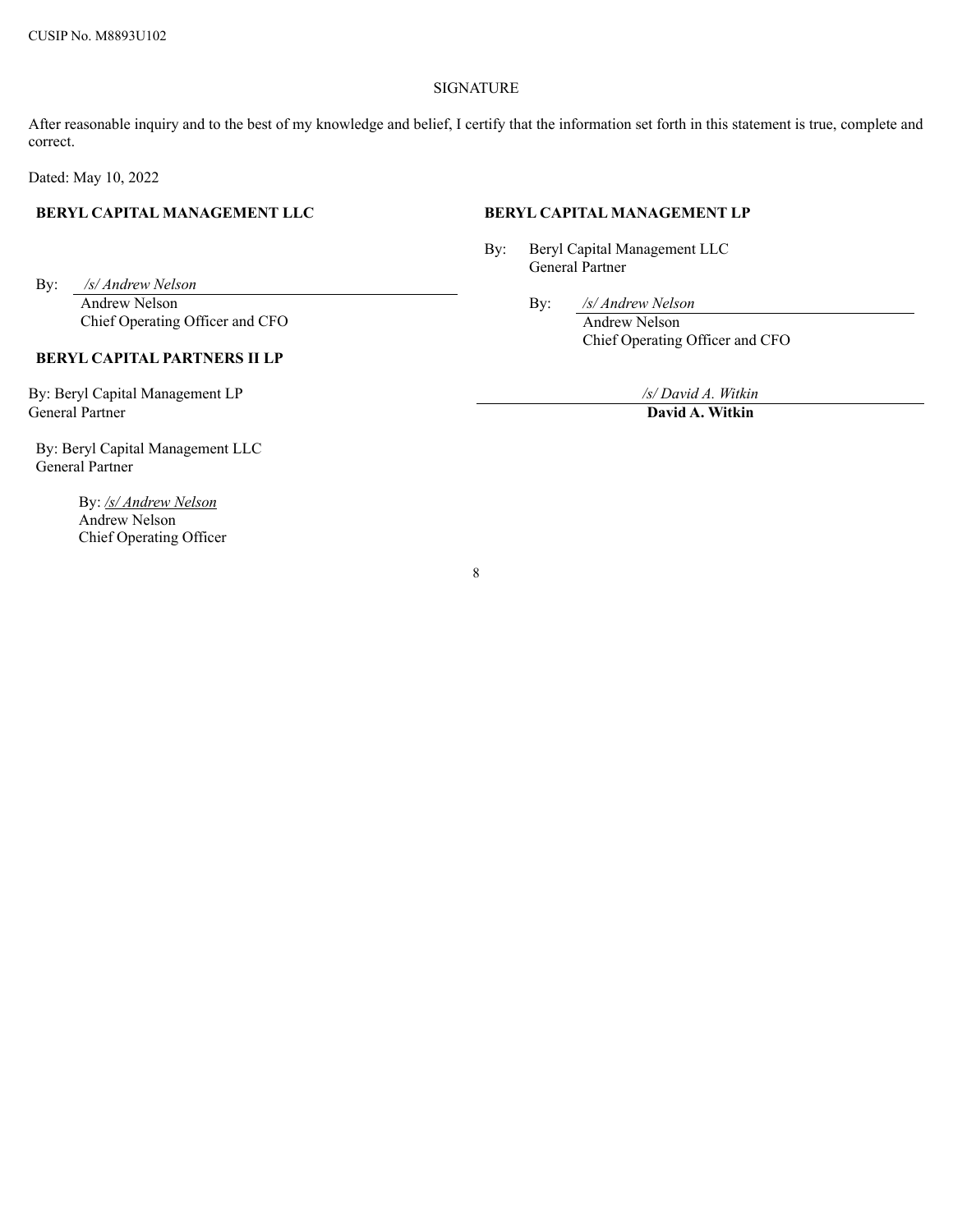# SIGNATURE

After reasonable inquiry and to the best of my knowledge and belief, I certify that the information set forth in this statement is true, complete and correct.

Dated: May 10, 2022

### **BERYL CAPITAL MANAGEMENT LLC BERYL CAPITAL MANAGEMENT LP**

By: */s/ Andrew Nelson* Andrew Nelson By: */s/ Andrew Nelson* Chief Operating Officer and CFO Andrew Nelson

#### **BERYL CAPITAL PARTNERS II LP**

By: Beryl Capital Management LP */s/ David A. Witkin* General Partner **David A. Witkin**

By: Beryl Capital Management LLC General Partner

> By: */s/ Andrew Nelson* Andrew Nelson Chief Operating Officer

By: Beryl Capital Management LLC General Partner

Chief Operating Officer and CFO